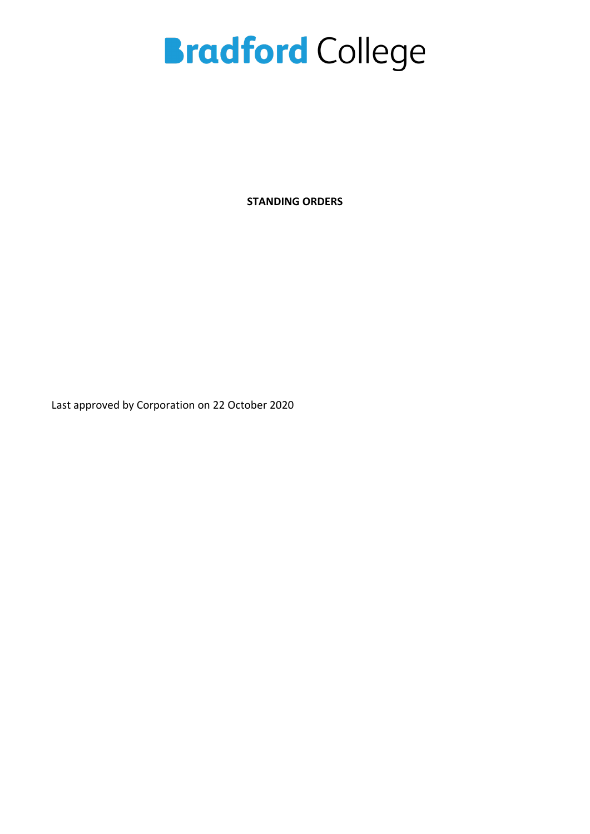**STANDING ORDERS**

Last approved by Corporation on 22 October 2020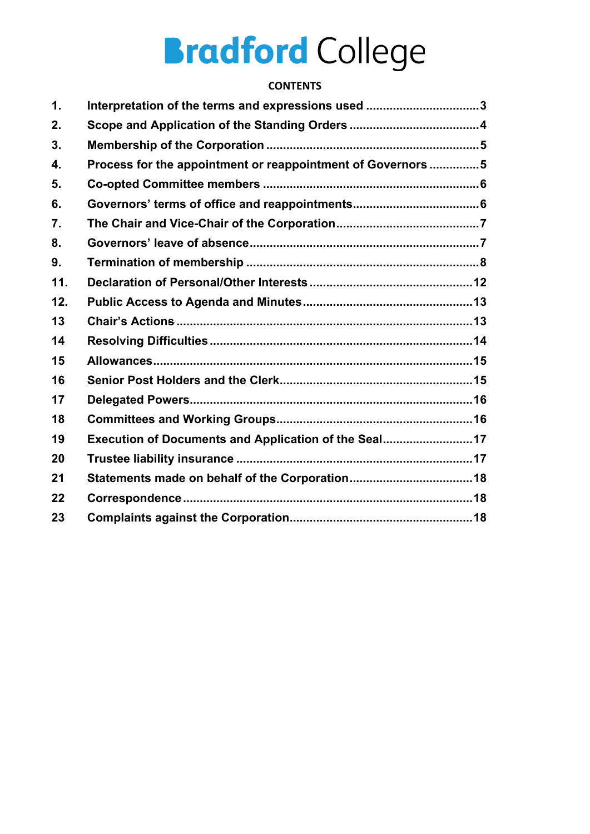## **CONTENTS**

| $\mathbf 1$ .    | Interpretation of the terms and expressions used 3          |  |
|------------------|-------------------------------------------------------------|--|
| 2.               |                                                             |  |
| 3.               |                                                             |  |
| 4.               | Process for the appointment or reappointment of Governors 5 |  |
| 5.               |                                                             |  |
| 6.               |                                                             |  |
| $\overline{7}$ . |                                                             |  |
| 8.               |                                                             |  |
| 9.               |                                                             |  |
| 11.              |                                                             |  |
| 12.              |                                                             |  |
| 13               |                                                             |  |
| 14               |                                                             |  |
| 15               |                                                             |  |
| 16               |                                                             |  |
| 17               |                                                             |  |
| 18               |                                                             |  |
| 19               | Execution of Documents and Application of the Seal17        |  |
| 20               |                                                             |  |
| 21               |                                                             |  |
| 22               |                                                             |  |
| 23               |                                                             |  |
|                  |                                                             |  |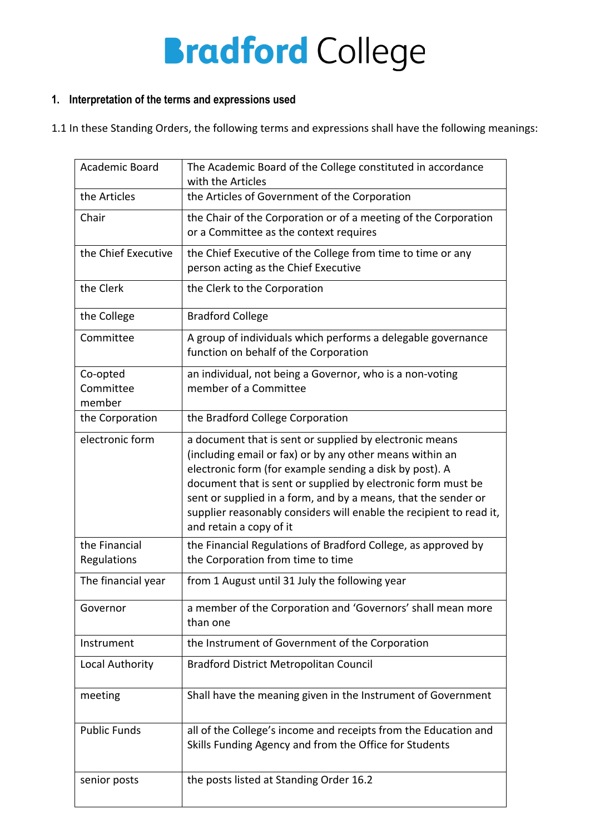## **1. Interpretation of the terms and expressions used**

1.1 In these Standing Orders, the following terms and expressions shall have the following meanings:

| Academic Board                  | The Academic Board of the College constituted in accordance<br>with the Articles                                                                                                                                                                                                                                                                                                                                   |
|---------------------------------|--------------------------------------------------------------------------------------------------------------------------------------------------------------------------------------------------------------------------------------------------------------------------------------------------------------------------------------------------------------------------------------------------------------------|
| the Articles                    | the Articles of Government of the Corporation                                                                                                                                                                                                                                                                                                                                                                      |
| Chair                           | the Chair of the Corporation or of a meeting of the Corporation<br>or a Committee as the context requires                                                                                                                                                                                                                                                                                                          |
| the Chief Executive             | the Chief Executive of the College from time to time or any<br>person acting as the Chief Executive                                                                                                                                                                                                                                                                                                                |
| the Clerk                       | the Clerk to the Corporation                                                                                                                                                                                                                                                                                                                                                                                       |
| the College                     | <b>Bradford College</b>                                                                                                                                                                                                                                                                                                                                                                                            |
| Committee                       | A group of individuals which performs a delegable governance<br>function on behalf of the Corporation                                                                                                                                                                                                                                                                                                              |
| Co-opted<br>Committee<br>member | an individual, not being a Governor, who is a non-voting<br>member of a Committee                                                                                                                                                                                                                                                                                                                                  |
| the Corporation                 | the Bradford College Corporation                                                                                                                                                                                                                                                                                                                                                                                   |
| electronic form                 | a document that is sent or supplied by electronic means<br>(including email or fax) or by any other means within an<br>electronic form (for example sending a disk by post). A<br>document that is sent or supplied by electronic form must be<br>sent or supplied in a form, and by a means, that the sender or<br>supplier reasonably considers will enable the recipient to read it,<br>and retain a copy of it |
| the Financial<br>Regulations    | the Financial Regulations of Bradford College, as approved by<br>the Corporation from time to time                                                                                                                                                                                                                                                                                                                 |
| The financial year              | from 1 August until 31 July the following year                                                                                                                                                                                                                                                                                                                                                                     |
| Governor                        | a member of the Corporation and 'Governors' shall mean more<br>than one                                                                                                                                                                                                                                                                                                                                            |
| Instrument                      | the Instrument of Government of the Corporation                                                                                                                                                                                                                                                                                                                                                                    |
| Local Authority                 | <b>Bradford District Metropolitan Council</b>                                                                                                                                                                                                                                                                                                                                                                      |
| meeting                         | Shall have the meaning given in the Instrument of Government                                                                                                                                                                                                                                                                                                                                                       |
| <b>Public Funds</b>             | all of the College's income and receipts from the Education and<br>Skills Funding Agency and from the Office for Students                                                                                                                                                                                                                                                                                          |
| senior posts                    | the posts listed at Standing Order 16.2                                                                                                                                                                                                                                                                                                                                                                            |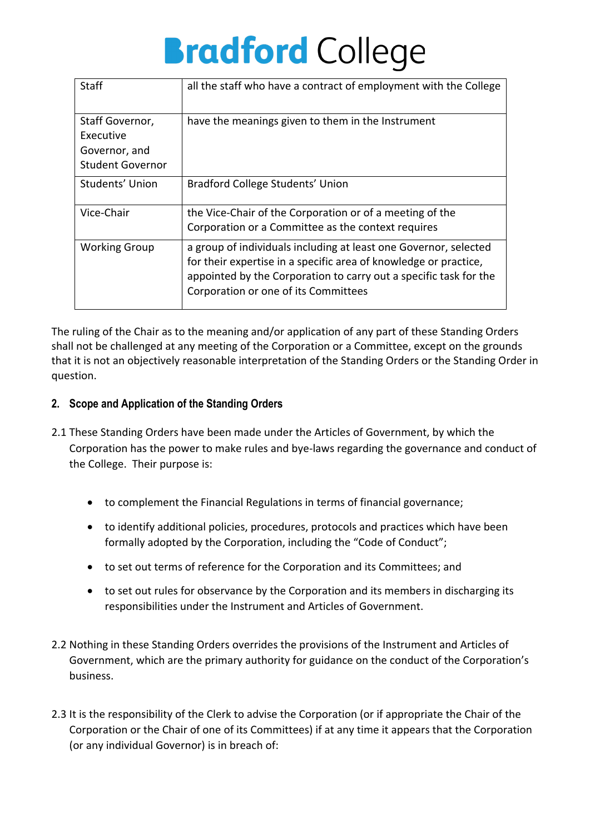| Staff                                                                    | all the staff who have a contract of employment with the College                                                                                                                                                                                  |
|--------------------------------------------------------------------------|---------------------------------------------------------------------------------------------------------------------------------------------------------------------------------------------------------------------------------------------------|
| Staff Governor,<br>Executive<br>Governor, and<br><b>Student Governor</b> | have the meanings given to them in the Instrument                                                                                                                                                                                                 |
| Students' Union                                                          | Bradford College Students' Union                                                                                                                                                                                                                  |
| Vice-Chair                                                               | the Vice-Chair of the Corporation or of a meeting of the<br>Corporation or a Committee as the context requires                                                                                                                                    |
| <b>Working Group</b>                                                     | a group of individuals including at least one Governor, selected<br>for their expertise in a specific area of knowledge or practice,<br>appointed by the Corporation to carry out a specific task for the<br>Corporation or one of its Committees |

The ruling of the Chair as to the meaning and/or application of any part of these Standing Orders shall not be challenged at any meeting of the Corporation or a Committee, except on the grounds that it is not an objectively reasonable interpretation of the Standing Orders or the Standing Order in question.

## **2. Scope and Application of the Standing Orders**

- 2.1 These Standing Orders have been made under the Articles of Government, by which the Corporation has the power to make rules and bye-laws regarding the governance and conduct of the College. Their purpose is:
	- to complement the Financial Regulations in terms of financial governance;
	- to identify additional policies, procedures, protocols and practices which have been formally adopted by the Corporation, including the "Code of Conduct";
	- to set out terms of reference for the Corporation and its Committees; and
	- to set out rules for observance by the Corporation and its members in discharging its responsibilities under the Instrument and Articles of Government.
- 2.2 Nothing in these Standing Orders overrides the provisions of the Instrument and Articles of Government, which are the primary authority for guidance on the conduct of the Corporation's business.
- 2.3 It is the responsibility of the Clerk to advise the Corporation (or if appropriate the Chair of the Corporation or the Chair of one of its Committees) if at any time it appears that the Corporation (or any individual Governor) is in breach of: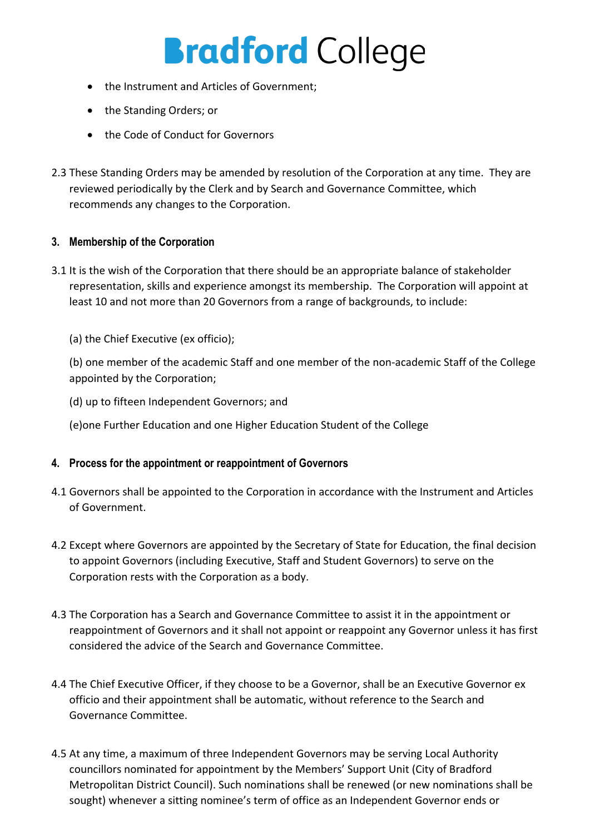- the Instrument and Articles of Government;
- the Standing Orders; or
- the Code of Conduct for Governors
- 2.3 These Standing Orders may be amended by resolution of the Corporation at any time. They are reviewed periodically by the Clerk and by Search and Governance Committee, which recommends any changes to the Corporation.

## **3. Membership of the Corporation**

- 3.1 It is the wish of the Corporation that there should be an appropriate balance of stakeholder representation, skills and experience amongst its membership. The Corporation will appoint at least 10 and not more than 20 Governors from a range of backgrounds, to include:
	- (a) the Chief Executive (ex officio);

(b) one member of the academic Staff and one member of the non-academic Staff of the College appointed by the Corporation;

- (d) up to fifteen Independent Governors; and
- (e)one Further Education and one Higher Education Student of the College

### **4. Process for the appointment or reappointment of Governors**

- 4.1 Governors shall be appointed to the Corporation in accordance with the Instrument and Articles of Government.
- 4.2 Except where Governors are appointed by the Secretary of State for Education, the final decision to appoint Governors (including Executive, Staff and Student Governors) to serve on the Corporation rests with the Corporation as a body.
- 4.3 The Corporation has a Search and Governance Committee to assist it in the appointment or reappointment of Governors and it shall not appoint or reappoint any Governor unless it has first considered the advice of the Search and Governance Committee.
- 4.4 The Chief Executive Officer, if they choose to be a Governor, shall be an Executive Governor ex officio and their appointment shall be automatic, without reference to the Search and Governance Committee.
- 4.5 At any time, a maximum of three Independent Governors may be serving Local Authority councillors nominated for appointment by the Members' Support Unit (City of Bradford Metropolitan District Council). Such nominations shall be renewed (or new nominations shall be sought) whenever a sitting nominee's term of office as an Independent Governor ends or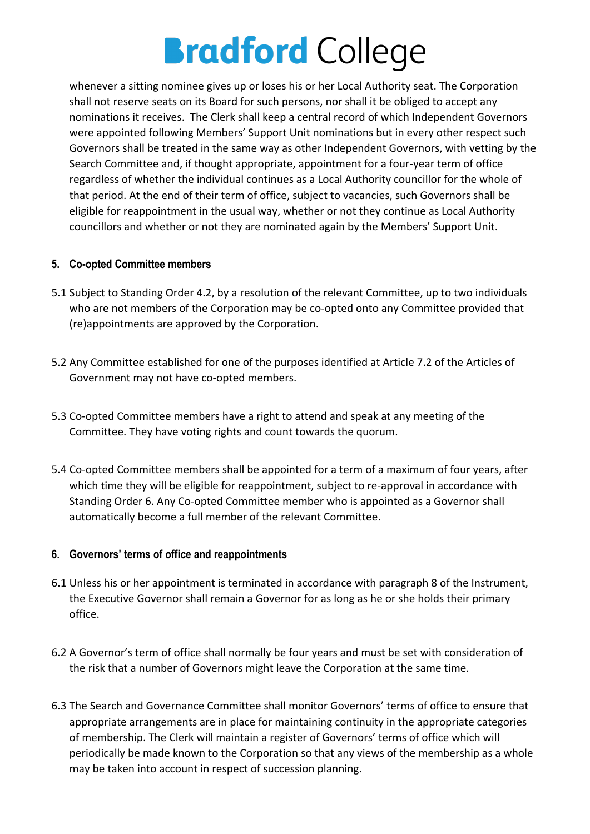whenever a sitting nominee gives up or loses his or her Local Authority seat. The Corporation shall not reserve seats on its Board for such persons, nor shall it be obliged to accept any nominations it receives. The Clerk shall keep a central record of which Independent Governors were appointed following Members' Support Unit nominations but in every other respect such Governors shall be treated in the same way as other Independent Governors, with vetting by the Search Committee and, if thought appropriate, appointment for a four-year term of office regardless of whether the individual continues as a Local Authority councillor for the whole of that period. At the end of their term of office, subject to vacancies, such Governors shall be eligible for reappointment in the usual way, whether or not they continue as Local Authority councillors and whether or not they are nominated again by the Members' Support Unit.

## **5. Co-opted Committee members**

- 5.1 Subject to Standing Order 4.2, by a resolution of the relevant Committee, up to two individuals who are not members of the Corporation may be co-opted onto any Committee provided that (re)appointments are approved by the Corporation.
- 5.2 Any Committee established for one of the purposes identified at Article 7.2 of the Articles of Government may not have co-opted members.
- 5.3 Co-opted Committee members have a right to attend and speak at any meeting of the Committee. They have voting rights and count towards the quorum.
- 5.4 Co-opted Committee members shall be appointed for a term of a maximum of four years, after which time they will be eligible for reappointment, subject to re-approval in accordance with Standing Order 6. Any Co-opted Committee member who is appointed as a Governor shall automatically become a full member of the relevant Committee.

### **6. Governors' terms of office and reappointments**

- 6.1 Unless his or her appointment is terminated in accordance with paragraph 8 of the Instrument, the Executive Governor shall remain a Governor for as long as he or she holds their primary office.
- 6.2 A Governor's term of office shall normally be four years and must be set with consideration of the risk that a number of Governors might leave the Corporation at the same time.
- 6.3 The Search and Governance Committee shall monitor Governors' terms of office to ensure that appropriate arrangements are in place for maintaining continuity in the appropriate categories of membership. The Clerk will maintain a register of Governors' terms of office which will periodically be made known to the Corporation so that any views of the membership as a whole may be taken into account in respect of succession planning.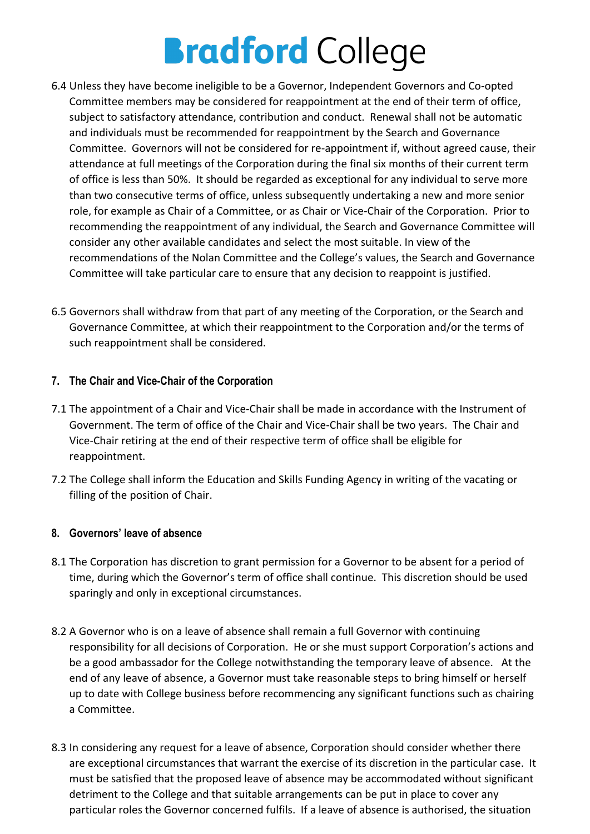- 6.4 Unless they have become ineligible to be a Governor, Independent Governors and Co-opted Committee members may be considered for reappointment at the end of their term of office, subject to satisfactory attendance, contribution and conduct. Renewal shall not be automatic and individuals must be recommended for reappointment by the Search and Governance Committee. Governors will not be considered for re-appointment if, without agreed cause, their attendance at full meetings of the Corporation during the final six months of their current term of office is less than 50%. It should be regarded as exceptional for any individual to serve more than two consecutive terms of office, unless subsequently undertaking a new and more senior role, for example as Chair of a Committee, or as Chair or Vice-Chair of the Corporation. Prior to recommending the reappointment of any individual, the Search and Governance Committee will consider any other available candidates and select the most suitable. In view of the recommendations of the Nolan Committee and the College's values, the Search and Governance Committee will take particular care to ensure that any decision to reappoint is justified.
- 6.5 Governors shall withdraw from that part of any meeting of the Corporation, or the Search and Governance Committee, at which their reappointment to the Corporation and/or the terms of such reappointment shall be considered.

## **7. The Chair and Vice-Chair of the Corporation**

- 7.1 The appointment of a Chair and Vice-Chair shall be made in accordance with the Instrument of Government. The term of office of the Chair and Vice-Chair shall be two years. The Chair and Vice-Chair retiring at the end of their respective term of office shall be eligible for reappointment.
- 7.2 The College shall inform the Education and Skills Funding Agency in writing of the vacating or filling of the position of Chair.

## **8. Governors' leave of absence**

- 8.1 The Corporation has discretion to grant permission for a Governor to be absent for a period of time, during which the Governor's term of office shall continue. This discretion should be used sparingly and only in exceptional circumstances.
- 8.2 A Governor who is on a leave of absence shall remain a full Governor with continuing responsibility for all decisions of Corporation. He or she must support Corporation's actions and be a good ambassador for the College notwithstanding the temporary leave of absence. At the end of any leave of absence, a Governor must take reasonable steps to bring himself or herself up to date with College business before recommencing any significant functions such as chairing a Committee.
- 8.3 In considering any request for a leave of absence, Corporation should consider whether there are exceptional circumstances that warrant the exercise of its discretion in the particular case. It must be satisfied that the proposed leave of absence may be accommodated without significant detriment to the College and that suitable arrangements can be put in place to cover any particular roles the Governor concerned fulfils. If a leave of absence is authorised, the situation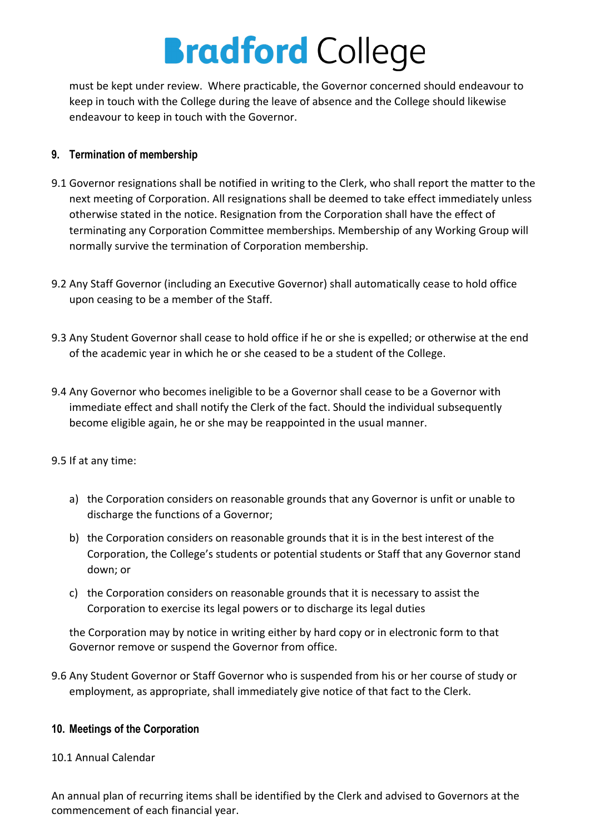must be kept under review. Where practicable, the Governor concerned should endeavour to keep in touch with the College during the leave of absence and the College should likewise endeavour to keep in touch with the Governor.

## **9. Termination of membership**

- 9.1 Governor resignations shall be notified in writing to the Clerk, who shall report the matter to the next meeting of Corporation. All resignations shall be deemed to take effect immediately unless otherwise stated in the notice. Resignation from the Corporation shall have the effect of terminating any Corporation Committee memberships. Membership of any Working Group will normally survive the termination of Corporation membership.
- 9.2 Any Staff Governor (including an Executive Governor) shall automatically cease to hold office upon ceasing to be a member of the Staff.
- 9.3 Any Student Governor shall cease to hold office if he or she is expelled; or otherwise at the end of the academic year in which he or she ceased to be a student of the College.
- 9.4 Any Governor who becomes ineligible to be a Governor shall cease to be a Governor with immediate effect and shall notify the Clerk of the fact. Should the individual subsequently become eligible again, he or she may be reappointed in the usual manner.
- 9.5 If at any time:
	- a) the Corporation considers on reasonable grounds that any Governor is unfit or unable to discharge the functions of a Governor;
	- b) the Corporation considers on reasonable grounds that it is in the best interest of the Corporation, the College's students or potential students or Staff that any Governor stand down; or
	- c) the Corporation considers on reasonable grounds that it is necessary to assist the Corporation to exercise its legal powers or to discharge its legal duties

the Corporation may by notice in writing either by hard copy or in electronic form to that Governor remove or suspend the Governor from office.

9.6 Any Student Governor or Staff Governor who is suspended from his or her course of study or employment, as appropriate, shall immediately give notice of that fact to the Clerk.

### **10. Meetings of the Corporation**

### 10.1 Annual Calendar

An annual plan of recurring items shall be identified by the Clerk and advised to Governors at the commencement of each financial year.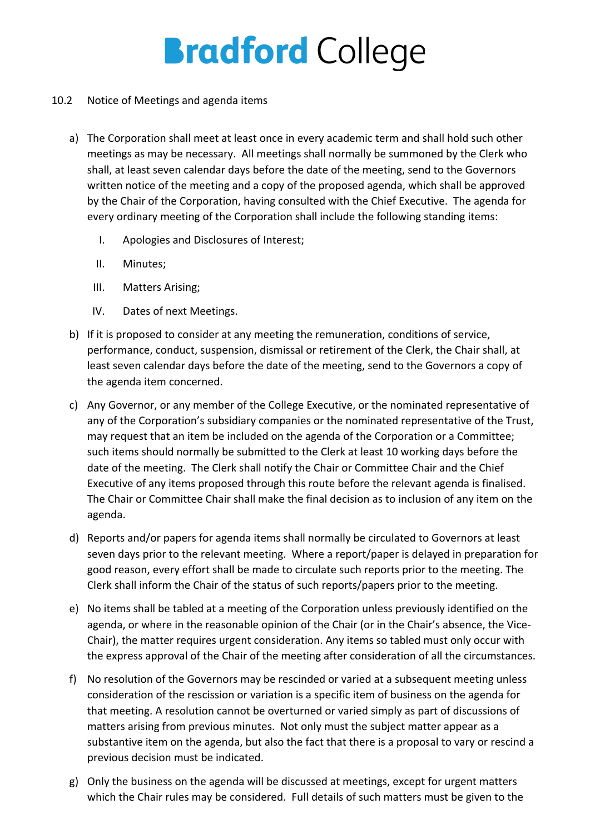- 10.2 Notice of Meetings and agenda items
	- a) The Corporation shall meet at least once in every academic term and shall hold such other meetings as may be necessary. All meetings shall normally be summoned by the Clerk who shall, at least seven calendar days before the date of the meeting, send to the Governors written notice of the meeting and a copy of the proposed agenda, which shall be approved by the Chair of the Corporation, having consulted with the Chief Executive. The agenda for every ordinary meeting of the Corporation shall include the following standing items:
		- I. Apologies and Disclosures of Interest;
		- II. Minutes;
		- III. Matters Arising;
		- IV. Dates of next Meetings.
	- b) If it is proposed to consider at any meeting the remuneration, conditions of service, performance, conduct, suspension, dismissal or retirement of the Clerk, the Chair shall, at least seven calendar days before the date of the meeting, send to the Governors a copy of the agenda item concerned.
	- c) Any Governor, or any member of the College Executive, or the nominated representative of any of the Corporation's subsidiary companies or the nominated representative of the Trust, may request that an item be included on the agenda of the Corporation or a Committee; such items should normally be submitted to the Clerk at least 10 working days before the date of the meeting. The Clerk shall notify the Chair or Committee Chair and the Chief Executive of any items proposed through this route before the relevant agenda is finalised. The Chair or Committee Chair shall make the final decision as to inclusion of any item on the agenda.
	- d) Reports and/or papers for agenda items shall normally be circulated to Governors at least seven days prior to the relevant meeting. Where a report/paper is delayed in preparation for good reason, every effort shall be made to circulate such reports prior to the meeting. The Clerk shall inform the Chair of the status of such reports/papers prior to the meeting.
	- e) No items shall be tabled at a meeting of the Corporation unless previously identified on the agenda, or where in the reasonable opinion of the Chair (or in the Chair's absence, the Vice-Chair), the matter requires urgent consideration. Any items so tabled must only occur with the express approval of the Chair of the meeting after consideration of all the circumstances.
	- f) No resolution of the Governors may be rescinded or varied at a subsequent meeting unless consideration of the rescission or variation is a specific item of business on the agenda for that meeting. A resolution cannot be overturned or varied simply as part of discussions of matters arising from previous minutes. Not only must the subject matter appear as a substantive item on the agenda, but also the fact that there is a proposal to vary or rescind a previous decision must be indicated.
	- g) Only the business on the agenda will be discussed at meetings, except for urgent matters which the Chair rules may be considered. Full details of such matters must be given to the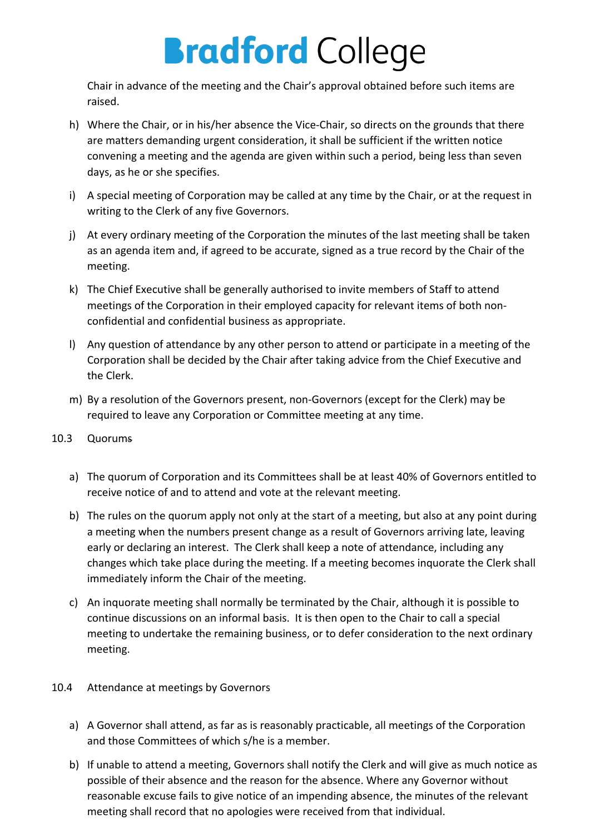Chair in advance of the meeting and the Chair's approval obtained before such items are raised.

- h) Where the Chair, or in his/her absence the Vice-Chair, so directs on the grounds that there are matters demanding urgent consideration, it shall be sufficient if the written notice convening a meeting and the agenda are given within such a period, being less than seven days, as he or she specifies.
- i) A special meeting of Corporation may be called at any time by the Chair, or at the request in writing to the Clerk of any five Governors.
- j) At every ordinary meeting of the Corporation the minutes of the last meeting shall be taken as an agenda item and, if agreed to be accurate, signed as a true record by the Chair of the meeting.
- k) The Chief Executive shall be generally authorised to invite members of Staff to attend meetings of the Corporation in their employed capacity for relevant items of both nonconfidential and confidential business as appropriate.
- l) Any question of attendance by any other person to attend or participate in a meeting of the Corporation shall be decided by the Chair after taking advice from the Chief Executive and the Clerk.
- m) By a resolution of the Governors present, non-Governors (except for the Clerk) may be required to leave any Corporation or Committee meeting at any time.
- 10.3 Quorums
	- a) The quorum of Corporation and its Committees shall be at least 40% of Governors entitled to receive notice of and to attend and vote at the relevant meeting.
	- b) The rules on the quorum apply not only at the start of a meeting, but also at any point during a meeting when the numbers present change as a result of Governors arriving late, leaving early or declaring an interest. The Clerk shall keep a note of attendance, including any changes which take place during the meeting. If a meeting becomes inquorate the Clerk shall immediately inform the Chair of the meeting.
	- c) An inquorate meeting shall normally be terminated by the Chair, although it is possible to continue discussions on an informal basis. It is then open to the Chair to call a special meeting to undertake the remaining business, or to defer consideration to the next ordinary meeting.
- 10.4 Attendance at meetings by Governors
	- a) A Governor shall attend, as far as is reasonably practicable, all meetings of the Corporation and those Committees of which s/he is a member.
	- b) If unable to attend a meeting, Governors shall notify the Clerk and will give as much notice as possible of their absence and the reason for the absence. Where any Governor without reasonable excuse fails to give notice of an impending absence, the minutes of the relevant meeting shall record that no apologies were received from that individual.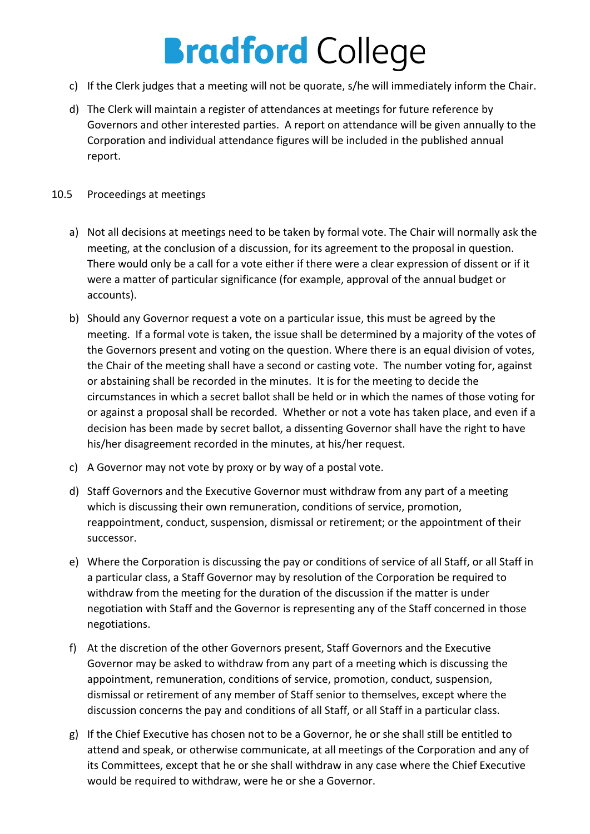- c) If the Clerk judges that a meeting will not be quorate, s/he will immediately inform the Chair.
- d) The Clerk will maintain a register of attendances at meetings for future reference by Governors and other interested parties. A report on attendance will be given annually to the Corporation and individual attendance figures will be included in the published annual report.

#### 10.5 Proceedings at meetings

- a) Not all decisions at meetings need to be taken by formal vote. The Chair will normally ask the meeting, at the conclusion of a discussion, for its agreement to the proposal in question. There would only be a call for a vote either if there were a clear expression of dissent or if it were a matter of particular significance (for example, approval of the annual budget or accounts).
- b) Should any Governor request a vote on a particular issue, this must be agreed by the meeting. If a formal vote is taken, the issue shall be determined by a majority of the votes of the Governors present and voting on the question. Where there is an equal division of votes, the Chair of the meeting shall have a second or casting vote. The number voting for, against or abstaining shall be recorded in the minutes. It is for the meeting to decide the circumstances in which a secret ballot shall be held or in which the names of those voting for or against a proposal shall be recorded. Whether or not a vote has taken place, and even if a decision has been made by secret ballot, a dissenting Governor shall have the right to have his/her disagreement recorded in the minutes, at his/her request.
- c) A Governor may not vote by proxy or by way of a postal vote.
- d) Staff Governors and the Executive Governor must withdraw from any part of a meeting which is discussing their own remuneration, conditions of service, promotion, reappointment, conduct, suspension, dismissal or retirement; or the appointment of their successor.
- e) Where the Corporation is discussing the pay or conditions of service of all Staff, or all Staff in a particular class, a Staff Governor may by resolution of the Corporation be required to withdraw from the meeting for the duration of the discussion if the matter is under negotiation with Staff and the Governor is representing any of the Staff concerned in those negotiations.
- f) At the discretion of the other Governors present, Staff Governors and the Executive Governor may be asked to withdraw from any part of a meeting which is discussing the appointment, remuneration, conditions of service, promotion, conduct, suspension, dismissal or retirement of any member of Staff senior to themselves, except where the discussion concerns the pay and conditions of all Staff, or all Staff in a particular class.
- g) If the Chief Executive has chosen not to be a Governor, he or she shall still be entitled to attend and speak, or otherwise communicate, at all meetings of the Corporation and any of its Committees, except that he or she shall withdraw in any case where the Chief Executive would be required to withdraw, were he or she a Governor.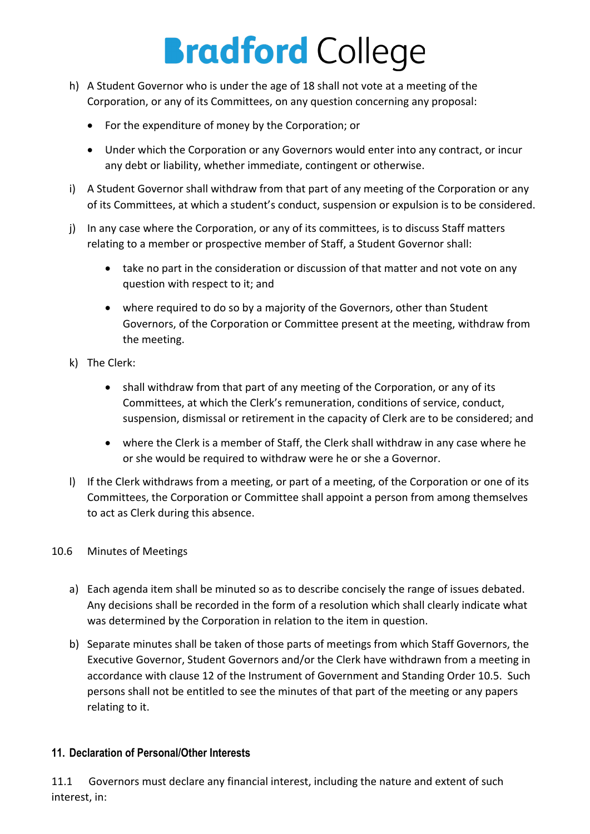- h) A Student Governor who is under the age of 18 shall not vote at a meeting of the Corporation, or any of its Committees, on any question concerning any proposal:
	- For the expenditure of money by the Corporation; or
	- Under which the Corporation or any Governors would enter into any contract, or incur any debt or liability, whether immediate, contingent or otherwise.
- i) A Student Governor shall withdraw from that part of any meeting of the Corporation or any of its Committees, at which a student's conduct, suspension or expulsion is to be considered.
- j) In any case where the Corporation, or any of its committees, is to discuss Staff matters relating to a member or prospective member of Staff, a Student Governor shall:
	- take no part in the consideration or discussion of that matter and not vote on any question with respect to it; and
	- where required to do so by a majority of the Governors, other than Student Governors, of the Corporation or Committee present at the meeting, withdraw from the meeting.
- k) The Clerk:
	- shall withdraw from that part of any meeting of the Corporation, or any of its Committees, at which the Clerk's remuneration, conditions of service, conduct, suspension, dismissal or retirement in the capacity of Clerk are to be considered; and
	- where the Clerk is a member of Staff, the Clerk shall withdraw in any case where he or she would be required to withdraw were he or she a Governor.
- l) If the Clerk withdraws from a meeting, or part of a meeting, of the Corporation or one of its Committees, the Corporation or Committee shall appoint a person from among themselves to act as Clerk during this absence.

### 10.6 Minutes of Meetings

- a) Each agenda item shall be minuted so as to describe concisely the range of issues debated. Any decisions shall be recorded in the form of a resolution which shall clearly indicate what was determined by the Corporation in relation to the item in question.
- b) Separate minutes shall be taken of those parts of meetings from which Staff Governors, the Executive Governor, Student Governors and/or the Clerk have withdrawn from a meeting in accordance with clause 12 of the Instrument of Government and Standing Order 10.5. Such persons shall not be entitled to see the minutes of that part of the meeting or any papers relating to it.

### **11. Declaration of Personal/Other Interests**

11.1 Governors must declare any financial interest, including the nature and extent of such interest, in: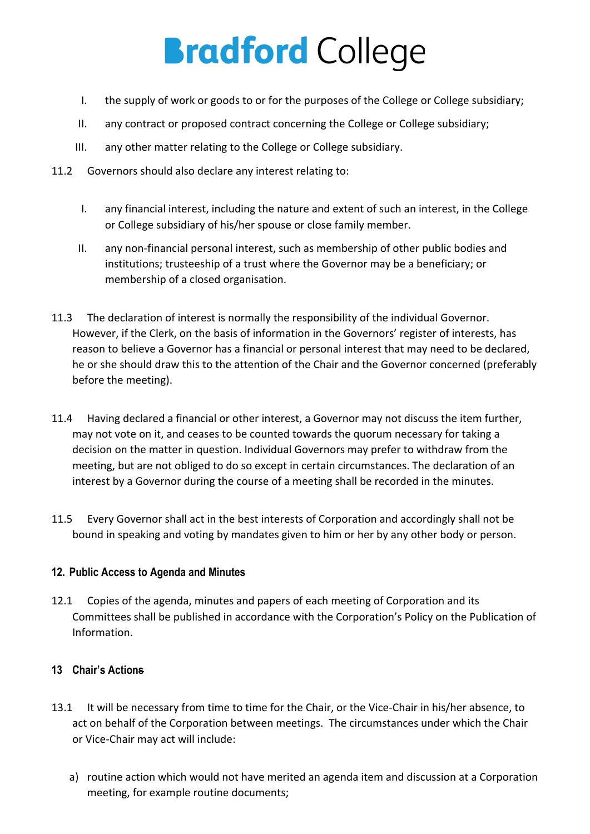- I. the supply of work or goods to or for the purposes of the College or College subsidiary;
- II. any contract or proposed contract concerning the College or College subsidiary;
- III. any other matter relating to the College or College subsidiary.
- 11.2 Governors should also declare any interest relating to:
	- I. any financial interest, including the nature and extent of such an interest, in the College or College subsidiary of his/her spouse or close family member.
	- II. any non-financial personal interest, such as membership of other public bodies and institutions; trusteeship of a trust where the Governor may be a beneficiary; or membership of a closed organisation.
- 11.3 The declaration of interest is normally the responsibility of the individual Governor. However, if the Clerk, on the basis of information in the Governors' register of interests, has reason to believe a Governor has a financial or personal interest that may need to be declared, he or she should draw this to the attention of the Chair and the Governor concerned (preferably before the meeting).
- 11.4 Having declared a financial or other interest, a Governor may not discuss the item further, may not vote on it, and ceases to be counted towards the quorum necessary for taking a decision on the matter in question. Individual Governors may prefer to withdraw from the meeting, but are not obliged to do so except in certain circumstances. The declaration of an interest by a Governor during the course of a meeting shall be recorded in the minutes.
- 11.5 Every Governor shall act in the best interests of Corporation and accordingly shall not be bound in speaking and voting by mandates given to him or her by any other body or person.

## **12. Public Access to Agenda and Minutes**

12.1 Copies of the agenda, minutes and papers of each meeting of Corporation and its Committees shall be published in accordance with the Corporation's Policy on the Publication of Information.

## **13 Chair's Actions**

- 13.1 It will be necessary from time to time for the Chair, or the Vice-Chair in his/her absence, to act on behalf of the Corporation between meetings. The circumstances under which the Chair or Vice-Chair may act will include:
	- a) routine action which would not have merited an agenda item and discussion at a Corporation meeting, for example routine documents;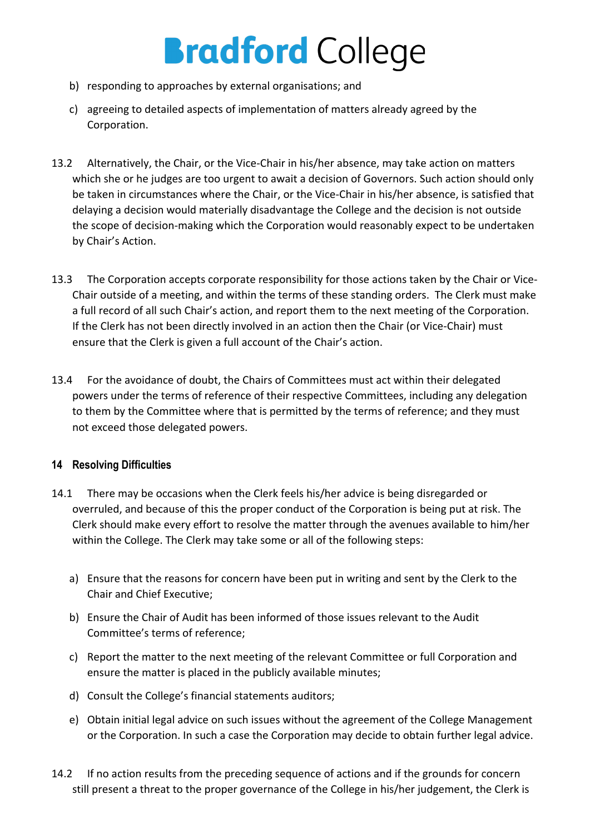- b) responding to approaches by external organisations; and
- c) agreeing to detailed aspects of implementation of matters already agreed by the Corporation.
- 13.2 Alternatively, the Chair, or the Vice-Chair in his/her absence, may take action on matters which she or he judges are too urgent to await a decision of Governors. Such action should only be taken in circumstances where the Chair, or the Vice-Chair in his/her absence, is satisfied that delaying a decision would materially disadvantage the College and the decision is not outside the scope of decision-making which the Corporation would reasonably expect to be undertaken by Chair's Action.
- 13.3 The Corporation accepts corporate responsibility for those actions taken by the Chair or Vice-Chair outside of a meeting, and within the terms of these standing orders. The Clerk must make a full record of all such Chair's action, and report them to the next meeting of the Corporation. If the Clerk has not been directly involved in an action then the Chair (or Vice-Chair) must ensure that the Clerk is given a full account of the Chair's action.
- 13.4 For the avoidance of doubt, the Chairs of Committees must act within their delegated powers under the terms of reference of their respective Committees, including any delegation to them by the Committee where that is permitted by the terms of reference; and they must not exceed those delegated powers.

## **14 Resolving Difficulties**

- 14.1 There may be occasions when the Clerk feels his/her advice is being disregarded or overruled, and because of this the proper conduct of the Corporation is being put at risk. The Clerk should make every effort to resolve the matter through the avenues available to him/her within the College. The Clerk may take some or all of the following steps:
	- a) Ensure that the reasons for concern have been put in writing and sent by the Clerk to the Chair and Chief Executive;
	- b) Ensure the Chair of Audit has been informed of those issues relevant to the Audit Committee's terms of reference;
	- c) Report the matter to the next meeting of the relevant Committee or full Corporation and ensure the matter is placed in the publicly available minutes;
	- d) Consult the College's financial statements auditors;
	- e) Obtain initial legal advice on such issues without the agreement of the College Management or the Corporation. In such a case the Corporation may decide to obtain further legal advice.
- 14.2 If no action results from the preceding sequence of actions and if the grounds for concern still present a threat to the proper governance of the College in his/her judgement, the Clerk is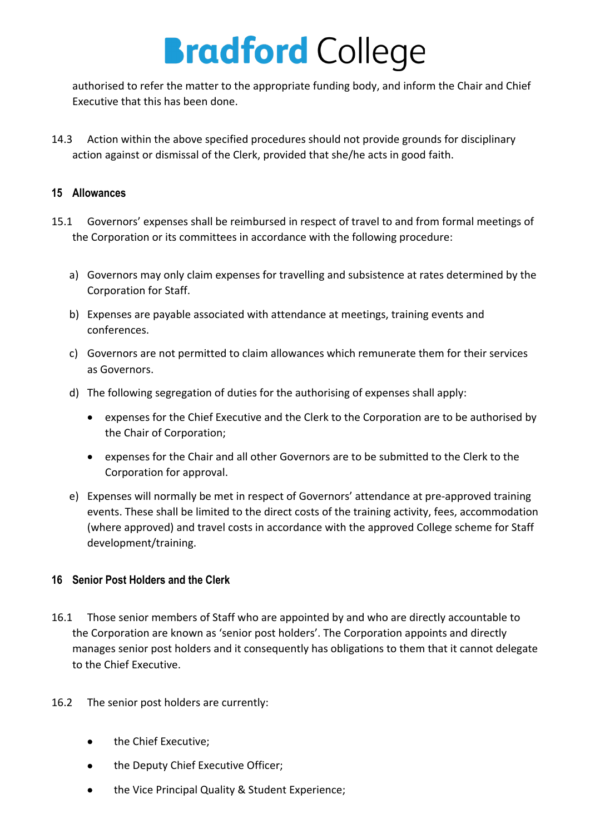authorised to refer the matter to the appropriate funding body, and inform the Chair and Chief Executive that this has been done.

14.3 Action within the above specified procedures should not provide grounds for disciplinary action against or dismissal of the Clerk, provided that she/he acts in good faith.

#### **15 Allowances**

- 15.1 Governors' expenses shall be reimbursed in respect of travel to and from formal meetings of the Corporation or its committees in accordance with the following procedure:
	- a) Governors may only claim expenses for travelling and subsistence at rates determined by the Corporation for Staff.
	- b) Expenses are payable associated with attendance at meetings, training events and conferences.
	- c) Governors are not permitted to claim allowances which remunerate them for their services as Governors.
	- d) The following segregation of duties for the authorising of expenses shall apply:
		- expenses for the Chief Executive and the Clerk to the Corporation are to be authorised by the Chair of Corporation;
		- expenses for the Chair and all other Governors are to be submitted to the Clerk to the Corporation for approval.
	- e) Expenses will normally be met in respect of Governors' attendance at pre-approved training events. These shall be limited to the direct costs of the training activity, fees, accommodation (where approved) and travel costs in accordance with the approved College scheme for Staff development/training.

### **16 Senior Post Holders and the Clerk**

- 16.1 Those senior members of Staff who are appointed by and who are directly accountable to the Corporation are known as 'senior post holders'. The Corporation appoints and directly manages senior post holders and it consequently has obligations to them that it cannot delegate to the Chief Executive.
- 16.2 The senior post holders are currently:
	- the Chief Executive;
	- the Deputy Chief Executive Officer;
	- the Vice Principal Quality & Student Experience;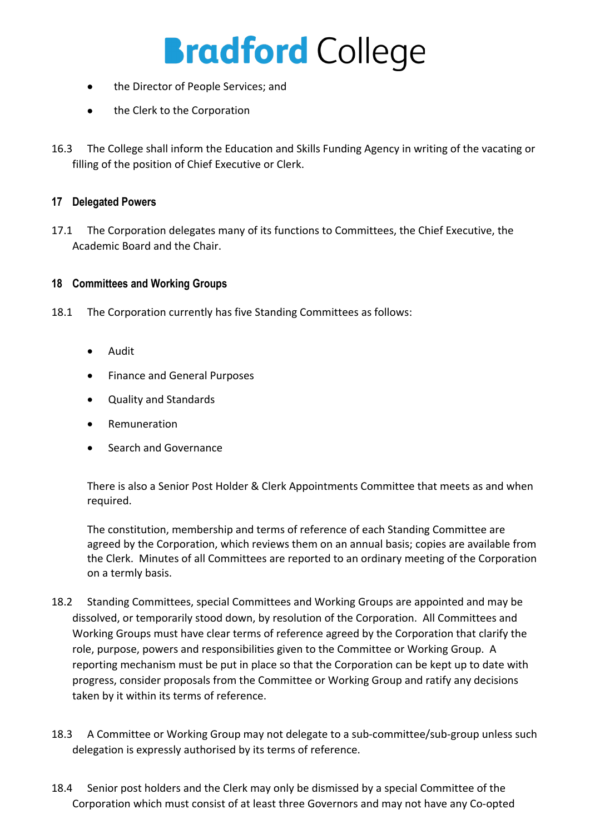- the Director of People Services; and
- the Clerk to the Corporation
- 16.3 The College shall inform the Education and Skills Funding Agency in writing of the vacating or filling of the position of Chief Executive or Clerk.

### **17 Delegated Powers**

17.1 The Corporation delegates many of its functions to Committees, the Chief Executive, the Academic Board and the Chair.

### **18 Committees and Working Groups**

- 18.1 The Corporation currently has five Standing Committees as follows:
	- Audit
	- Finance and General Purposes
	- Quality and Standards
	- **Remuneration**
	- Search and Governance

There is also a Senior Post Holder & Clerk Appointments Committee that meets as and when required.

The constitution, membership and terms of reference of each Standing Committee are agreed by the Corporation, which reviews them on an annual basis; copies are available from the Clerk. Minutes of all Committees are reported to an ordinary meeting of the Corporation on a termly basis.

- 18.2 Standing Committees, special Committees and Working Groups are appointed and may be dissolved, or temporarily stood down, by resolution of the Corporation. All Committees and Working Groups must have clear terms of reference agreed by the Corporation that clarify the role, purpose, powers and responsibilities given to the Committee or Working Group. A reporting mechanism must be put in place so that the Corporation can be kept up to date with progress, consider proposals from the Committee or Working Group and ratify any decisions taken by it within its terms of reference.
- 18.3 A Committee or Working Group may not delegate to a sub-committee/sub-group unless such delegation is expressly authorised by its terms of reference.
- 18.4 Senior post holders and the Clerk may only be dismissed by a special Committee of the Corporation which must consist of at least three Governors and may not have any Co-opted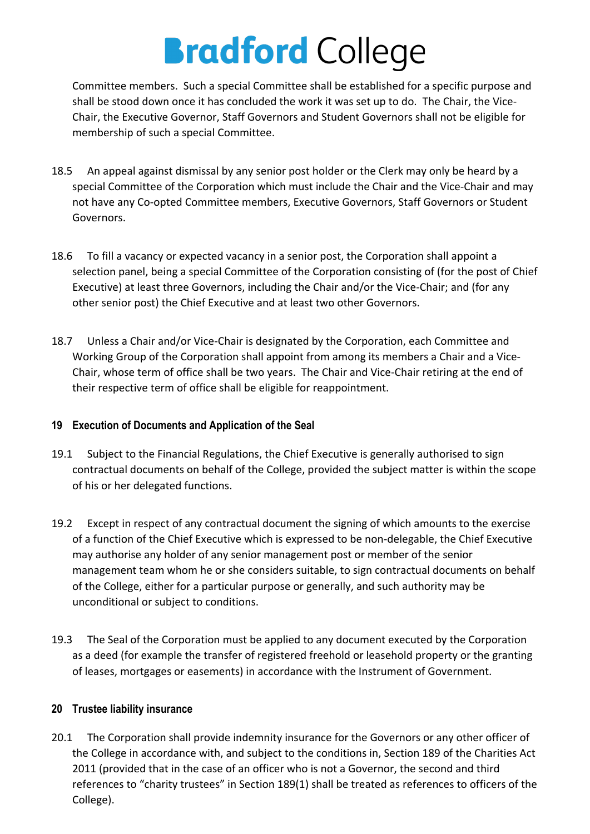Committee members. Such a special Committee shall be established for a specific purpose and shall be stood down once it has concluded the work it was set up to do. The Chair, the Vice-Chair, the Executive Governor, Staff Governors and Student Governors shall not be eligible for membership of such a special Committee.

- 18.5 An appeal against dismissal by any senior post holder or the Clerk may only be heard by a special Committee of the Corporation which must include the Chair and the Vice-Chair and may not have any Co-opted Committee members, Executive Governors, Staff Governors or Student Governors.
- 18.6 To fill a vacancy or expected vacancy in a senior post, the Corporation shall appoint a selection panel, being a special Committee of the Corporation consisting of (for the post of Chief Executive) at least three Governors, including the Chair and/or the Vice-Chair; and (for any other senior post) the Chief Executive and at least two other Governors.
- 18.7 Unless a Chair and/or Vice-Chair is designated by the Corporation, each Committee and Working Group of the Corporation shall appoint from among its members a Chair and a Vice-Chair, whose term of office shall be two years. The Chair and Vice-Chair retiring at the end of their respective term of office shall be eligible for reappointment.

## **19 Execution of Documents and Application of the Seal**

- 19.1 Subject to the Financial Regulations, the Chief Executive is generally authorised to sign contractual documents on behalf of the College, provided the subject matter is within the scope of his or her delegated functions.
- 19.2 Except in respect of any contractual document the signing of which amounts to the exercise of a function of the Chief Executive which is expressed to be non-delegable, the Chief Executive may authorise any holder of any senior management post or member of the senior management team whom he or she considers suitable, to sign contractual documents on behalf of the College, either for a particular purpose or generally, and such authority may be unconditional or subject to conditions.
- 19.3 The Seal of the Corporation must be applied to any document executed by the Corporation as a deed (for example the transfer of registered freehold or leasehold property or the granting of leases, mortgages or easements) in accordance with the Instrument of Government.

## **20 Trustee liability insurance**

20.1 The Corporation shall provide indemnity insurance for the Governors or any other officer of the College in accordance with, and subject to the conditions in, Section 189 of the Charities Act 2011 (provided that in the case of an officer who is not a Governor, the second and third references to "charity trustees" in Section 189(1) shall be treated as references to officers of the College).